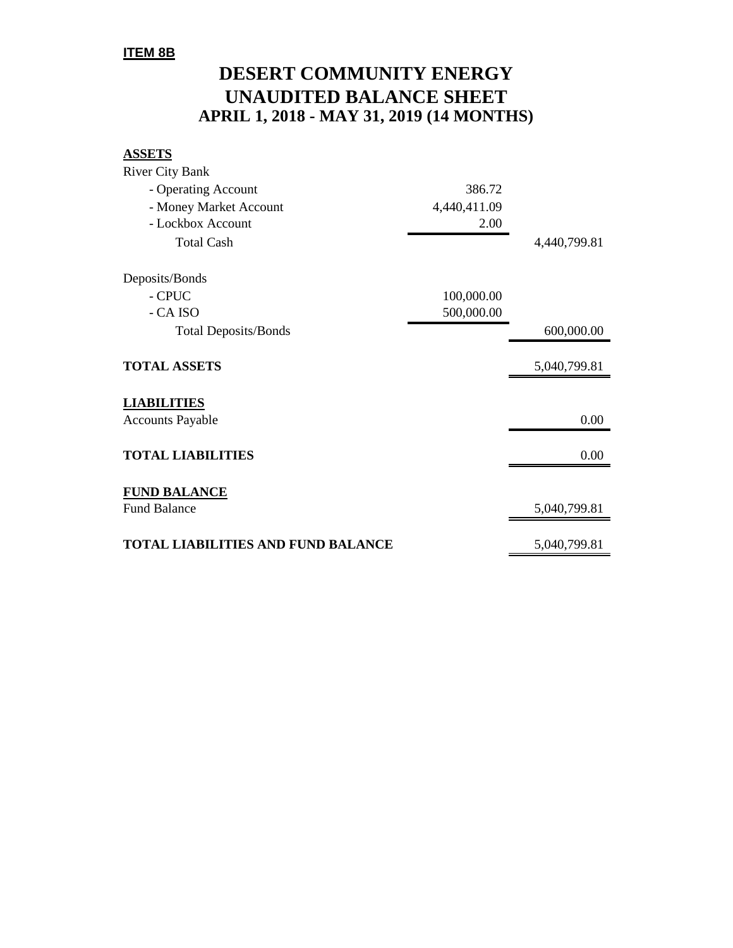### **ITEM 8B**

# **DESERT COMMUNITY ENERGY UNAUDITED BALANCE SHEET APRIL 1, 2018 - MAY 31, 2019 (14 MONTHS)**

#### **ASSETS**

| <b>River City Bank</b>                    |              |              |
|-------------------------------------------|--------------|--------------|
| - Operating Account                       | 386.72       |              |
| - Money Market Account                    | 4,440,411.09 |              |
| - Lockbox Account                         | 2.00         |              |
| <b>Total Cash</b>                         |              | 4,440,799.81 |
| Deposits/Bonds                            |              |              |
| - CPUC                                    | 100,000.00   |              |
| - CA ISO                                  | 500,000.00   |              |
| <b>Total Deposits/Bonds</b>               |              | 600,000.00   |
| <b>TOTAL ASSETS</b>                       |              | 5,040,799.81 |
| <b>LIABILITIES</b>                        |              |              |
| <b>Accounts Payable</b>                   |              | 0.00         |
| <b>TOTAL LIABILITIES</b>                  |              | 0.00         |
| <b>FUND BALANCE</b>                       |              |              |
| <b>Fund Balance</b>                       |              | 5,040,799.81 |
| <b>TOTAL LIABILITIES AND FUND BALANCE</b> |              | 5,040,799.81 |